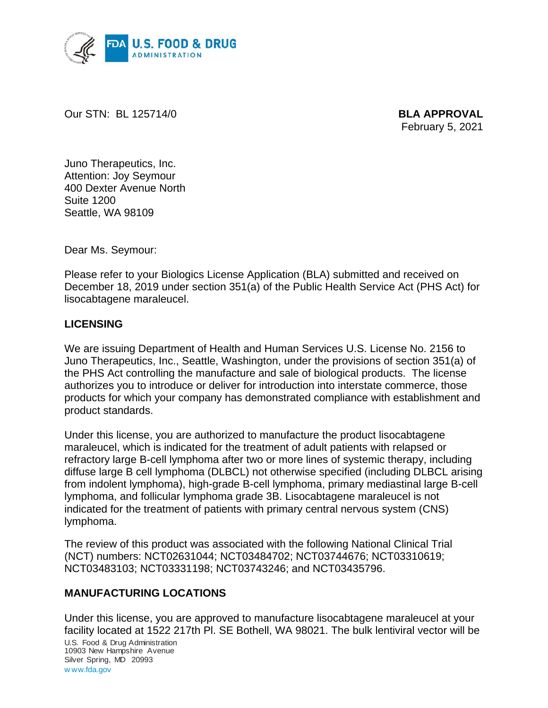

Our STN: BL 125714/0 **BLA APPROVAL**

February 5, 2021

Juno Therapeutics, Inc. Attention: Joy Seymour 400 Dexter Avenue North Suite 1200 Seattle, WA 98109

Dear Ms. Seymour:

Please refer to your Biologics License Application (BLA) submitted and received on December 18, 2019 under section 351(a) of the Public Health Service Act (PHS Act) for lisocabtagene maraleucel.

#### **LICENSING**

We are issuing Department of Health and Human Services U.S. License No. 2156 to Juno Therapeutics, Inc., Seattle, Washington, under the provisions of section 351(a) of the PHS Act controlling the manufacture and sale of biological products. The license authorizes you to introduce or deliver for introduction into interstate commerce, those products for which your company has demonstrated compliance with establishment and product standards.

Under this license, you are authorized to manufacture the product lisocabtagene maraleucel, which is indicated for the treatment of adult patients with relapsed or refractory large B-cell lymphoma after two or more lines of systemic therapy, including diffuse large B cell lymphoma (DLBCL) not otherwise specified (including DLBCL arising from indolent lymphoma), high-grade B-cell lymphoma, primary mediastinal large B-cell lymphoma, and follicular lymphoma grade 3B. Lisocabtagene maraleucel is not indicated for the treatment of patients with primary central nervous system (CNS) lymphoma.

The review of this product was associated with the following National Clinical Trial (NCT) numbers: NCT02631044; NCT03484702; NCT03744676; NCT03310619; NCT03483103; NCT03331198; NCT03743246; and NCT03435796.

#### **MANUFACTURING LOCATIONS**

U.S. Food & Drug Administration 10903 New Hampshire Avenue Silver Spring, MD 20993 w ww.fda.gov Under this license, you are approved to manufacture lisocabtagene maraleucel at your facility located at 1522 217th Pl. SE Bothell, WA 98021. The bulk lentiviral vector will be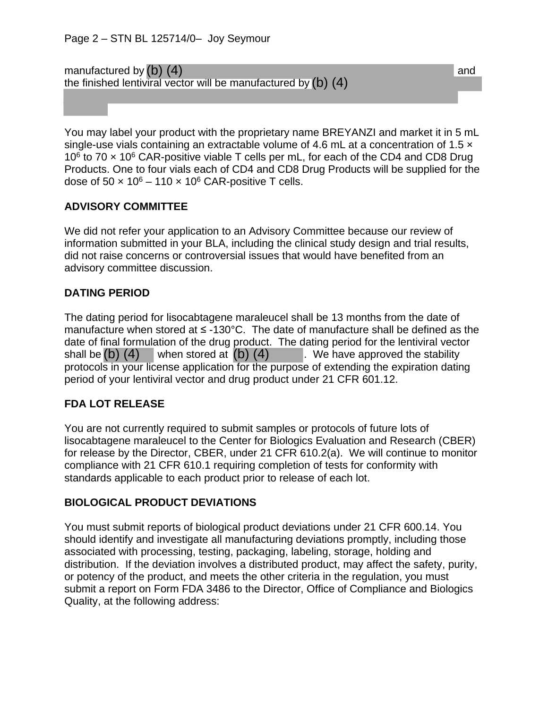manufactured by  $(b)$   $(4)$ the finished lentiviral vector will be manufactured by (b) (4)

You may label your product with the proprietary name BREYANZI and market it in 5 mL single-use vials containing an extractable volume of 4.6 mL at a concentration of 1.5  $\times$ 10 $6$  to 70  $\times$  10 $6$  CAR-positive viable T cells per mL, for each of the CD4 and CD8 Drug Products. One to four vials each of CD4 and CD8 Drug Products will be supplied for the dose of  $50 \times 10^6 - 110 \times 10^6$  CAR-positive T cells.

## **ADVISORY COMMITTEE**

We did not refer your application to an Advisory Committee because our review of information submitted in your BLA, including the clinical study design and trial results, did not raise concerns or controversial issues that would have benefited from an advisory committee discussion.

## **DATING PERIOD**

The dating period for lisocabtagene maraleucel shall be 13 months from the date of manufacture when stored at ≤ -130°C. The date of manufacture shall be defined as the date of final formulation of the drug product. The dating period for the lentiviral vector shall be  $(b)$  (4) when stored at  $(b)$  (4) We have approved the stability protocols in your license application for the purpose of extending the expiration dating period of your lentiviral vector and drug product under 21 CFR 601.12. when stored at  $(b)$   $(4)$ 

# **FDA LOT RELEASE**

You are not currently required to submit samples or protocols of future lots of lisocabtagene maraleucel to the Center for Biologics Evaluation and Research (CBER) for release by the Director, CBER, under 21 CFR 610.2(a). We will continue to monitor compliance with 21 CFR 610.1 requiring completion of tests for conformity with standards applicable to each product prior to release of each lot.

## **BIOLOGICAL PRODUCT DEVIATIONS**

You must submit reports of biological product deviations under 21 CFR 600.14. You should identify and investigate all manufacturing deviations promptly, including those associated with processing, testing, packaging, labeling, storage, holding and distribution. If the deviation involves a distributed product, may affect the safety, purity, or potency of the product, and meets the other criteria in the regulation, you must submit a report on Form FDA 3486 to the Director, Office of Compliance and Biologics Quality, at the following address: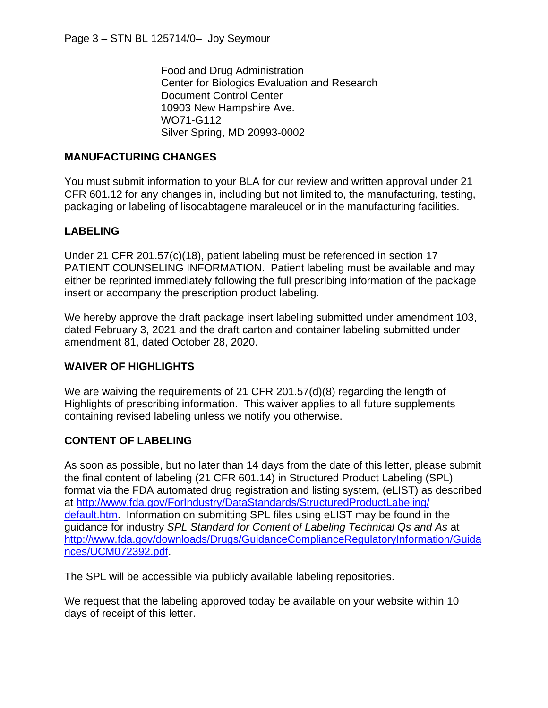Food and Drug Administration Center for Biologics Evaluation and Research Document Control Center 10903 New Hampshire Ave. WO71-G112 Silver Spring, MD 20993-0002

### **MANUFACTURING CHANGES**

You must submit information to your BLA for our review and written approval under 21 CFR 601.12 for any changes in, including but not limited to, the manufacturing, testing, packaging or labeling of lisocabtagene maraleucel or in the manufacturing facilities.

### **LABELING**

Under 21 CFR 201.57(c)(18), patient labeling must be referenced in section 17 PATIENT COUNSELING INFORMATION. Patient labeling must be available and may either be reprinted immediately following the full prescribing information of the package insert or accompany the prescription product labeling.

We hereby approve the draft package insert labeling submitted under amendment 103, dated February 3, 2021 and the draft carton and container labeling submitted under amendment 81, dated October 28, 2020.

#### **WAIVER OF HIGHLIGHTS**

We are waiving the requirements of 21 CFR 201.57(d)(8) regarding the length of Highlights of prescribing information. This waiver applies to all future supplements containing revised labeling unless we notify you otherwise.

#### **CONTENT OF LABELING**

As soon as possible, but no later than 14 days from the date of this letter, please submit the final content of labeling (21 CFR 601.14) in Structured Product Labeling (SPL) format via the FDA automated drug registration and listing system, (eLIST) as described at http://www.fda.gov/ForIndustry/DataStandards/StructuredProductLabeling/ default.htm. Information on submitting SPL files using eLIST may be found in the guidance for industry *SPL Standard for Content of Labeling Technical Qs and As* at http://www.fda.gov/downloads/Drugs/GuidanceComplianceRegulatoryInformation/Guida nces/UCM072392.pdf.

The SPL will be accessible via publicly available labeling repositories.

We request that the labeling approved today be available on your website within 10 days of receipt of this letter.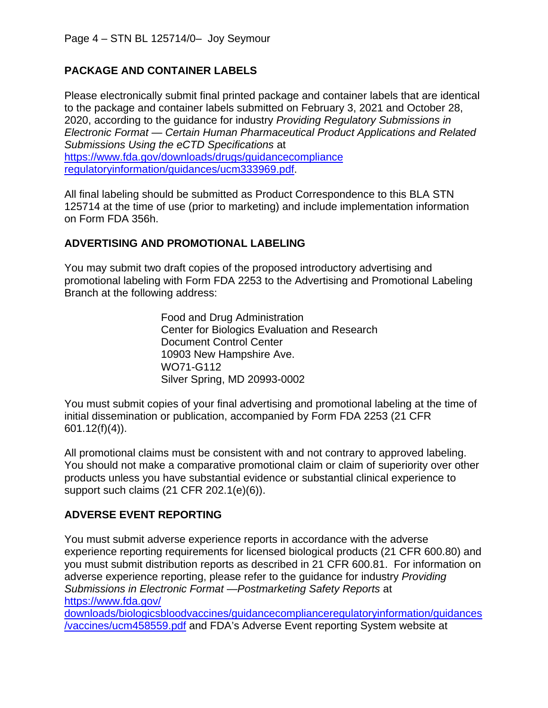# **PACKAGE AND CONTAINER LABELS**

Please electronically submit final printed package and container labels that are identical to the package and container labels submitted on February 3, 2021 and October 28, 2020, according to the guidance for industry *Providing Regulatory Submissions in Electronic Format — Certain Human Pharmaceutical Product Applications and Related Submissions Using the eCTD Specifications* at https://www.fda.gov/downloads/drugs/guidancecompliance regulatoryinformation/guidances/ucm333969.pdf.

All final labeling should be submitted as Product Correspondence to this BLA STN 125714 at the time of use (prior to marketing) and include implementation information on Form FDA 356h.

## **ADVERTISING AND PROMOTIONAL LABELING**

You may submit two draft copies of the proposed introductory advertising and promotional labeling with Form FDA 2253 to the Advertising and Promotional Labeling Branch at the following address:

> Food and Drug Administration Center for Biologics Evaluation and Research Document Control Center 10903 New Hampshire Ave. WO71-G112 Silver Spring, MD 20993-0002

You must submit copies of your final advertising and promotional labeling at the time of initial dissemination or publication, accompanied by Form FDA 2253 (21 CFR 601.12(f)(4)).

All promotional claims must be consistent with and not contrary to approved labeling. You should not make a comparative promotional claim or claim of superiority over other products unless you have substantial evidence or substantial clinical experience to support such claims (21 CFR 202.1(e)(6)).

## **ADVERSE EVENT REPORTING**

You must submit adverse experience reports in accordance with the adverse experience reporting requirements for licensed biological products (21 CFR 600.80) and you must submit distribution reports as described in 21 CFR 600.81. For information on adverse experience reporting, please refer to the guidance for industry *Providing Submissions in Electronic Format —Postmarketing Safety Reports* at https://www.fda.gov/

downloads/biologicsbloodvaccines/guidancecomplianceregulatoryinformation/guidances /vaccines/ucm458559.pdf and FDA's Adverse Event reporting System website at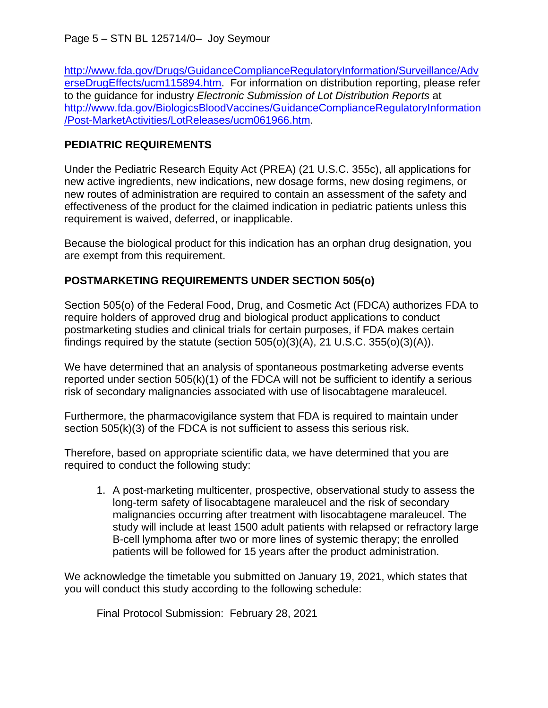http://www.fda.gov/Drugs/GuidanceComplianceRegulatoryInformation/Surveillance/Adv erseDrugEffects/ucm115894.htm. For information on distribution reporting, please refer to the guidance for industry *Electronic Submission of Lot Distribution Reports* at http://www.fda.gov/BiologicsBloodVaccines/GuidanceComplianceRegulatoryInformation /Post-MarketActivities/LotReleases/ucm061966.htm.

## **PEDIATRIC REQUIREMENTS**

Under the Pediatric Research Equity Act (PREA) (21 U.S.C. 355c), all applications for new active ingredients, new indications, new dosage forms, new dosing regimens, or new routes of administration are required to contain an assessment of the safety and effectiveness of the product for the claimed indication in pediatric patients unless this requirement is waived, deferred, or inapplicable.

Because the biological product for this indication has an orphan drug designation, you are exempt from this requirement.

# **POSTMARKETING REQUIREMENTS UNDER SECTION 505(o)**

Section 505(o) of the Federal Food, Drug, and Cosmetic Act (FDCA) authorizes FDA to require holders of approved drug and biological product applications to conduct postmarketing studies and clinical trials for certain purposes, if FDA makes certain findings required by the statute (section  $505(0)(3)(A)$ , 21 U.S.C.  $355(0)(3)(A)$ ).

We have determined that an analysis of spontaneous postmarketing adverse events reported under section  $505(k)(1)$  of the FDCA will not be sufficient to identify a serious risk of secondary malignancies associated with use of lisocabtagene maraleucel.

Furthermore, the pharmacovigilance system that FDA is required to maintain under section 505(k)(3) of the FDCA is not sufficient to assess this serious risk.

Therefore, based on appropriate scientific data, we have determined that you are required to conduct the following study:

1. A post-marketing multicenter, prospective, observational study to assess the long-term safety of lisocabtagene maraleucel and the risk of secondary malignancies occurring after treatment with lisocabtagene maraleucel. The study will include at least 1500 adult patients with relapsed or refractory large B-cell lymphoma after two or more lines of systemic therapy; the enrolled patients will be followed for 15 years after the product administration.

We acknowledge the timetable you submitted on January 19, 2021, which states that you will conduct this study according to the following schedule:

Final Protocol Submission: February 28, 2021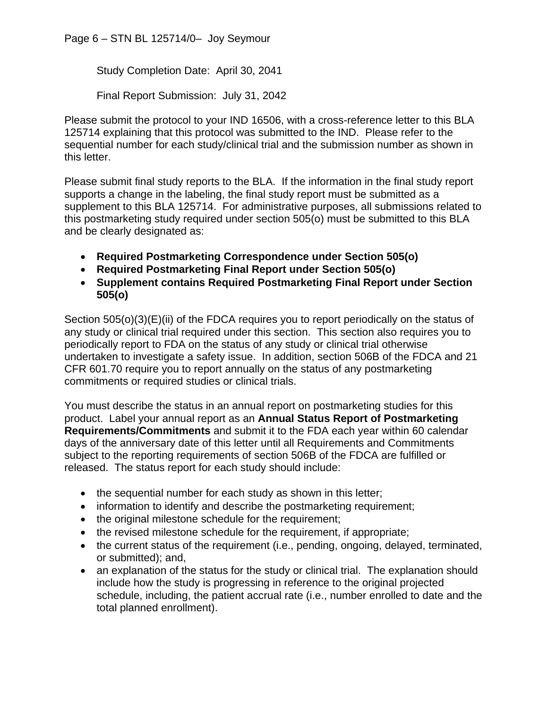Page 6 – STN BL 125714/0– Joy Seymour

Study Completion Date: April 30, 2041

Final Report Submission: July 31, 2042

Please submit the protocol to your IND 16506, with a cross-reference letter to this BLA 125714 explaining that this protocol was submitted to the IND. Please refer to the sequential number for each study/clinical trial and the submission number as shown in this letter.

Please submit final study reports to the BLA. If the information in the final study report supports a change in the labeling, the final study report must be submitted as a supplement to this BLA 125714. For administrative purposes, all submissions related to this postmarketing study required under section 505(o) must be submitted to this BLA and be clearly designated as:

- **Required Postmarketing Correspondence under Section 505(o)**
- **Required Postmarketing Final Report under Section 505(o)**
- **Supplement contains Required Postmarketing Final Report under Section 505(o)**

Section 505(o)(3)(E)(ii) of the FDCA requires you to report periodically on the status of any study or clinical trial required under this section. This section also requires you to periodically report to FDA on the status of any study or clinical trial otherwise undertaken to investigate a safety issue. In addition, section 506B of the FDCA and 21 CFR 601.70 require you to report annually on the status of any postmarketing commitments or required studies or clinical trials.

You must describe the status in an annual report on postmarketing studies for this product. Label your annual report as an **Annual Status Report of Postmarketing Requirements/Commitments** and submit it to the FDA each year within 60 calendar days of the anniversary date of this letter until all Requirements and Commitments subject to the reporting requirements of section 506B of the FDCA are fulfilled or released. The status report for each study should include:

- the sequential number for each study as shown in this letter;
- information to identify and describe the postmarketing requirement;
- the original milestone schedule for the requirement;
- the revised milestone schedule for the requirement, if appropriate;
- the current status of the requirement (i.e., pending, ongoing, delayed, terminated, or submitted); and,
- an explanation of the status for the study or clinical trial. The explanation should include how the study is progressing in reference to the original projected schedule, including, the patient accrual rate (i.e., number enrolled to date and the total planned enrollment).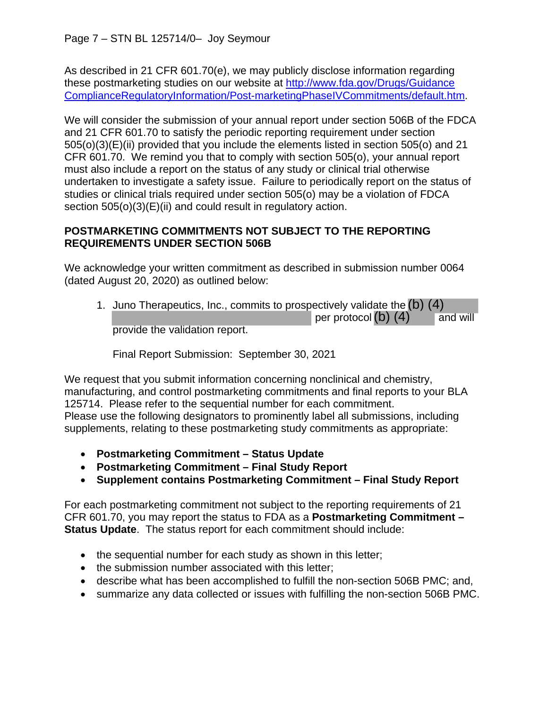As described in 21 CFR 601.70(e), we may publicly disclose information regarding these postmarketing studies on our website at http://www.fda.gov/Drugs/Guidance ComplianceRegulatoryInformation/Post-marketingPhaseIVCommitments/default.htm.

We will consider the submission of your annual report under section 506B of the FDCA and 21 CFR 601.70 to satisfy the periodic reporting requirement under section 505(o)(3)(E)(ii) provided that you include the elements listed in section 505(o) and 21 CFR 601.70. We remind you that to comply with section 505(o), your annual report must also include a report on the status of any study or clinical trial otherwise undertaken to investigate a safety issue. Failure to periodically report on the status of studies or clinical trials required under section 505(o) may be a violation of FDCA section 505(o)(3)(E)(ii) and could result in regulatory action.

## **POSTMARKETING COMMITMENTS NOT SUBJECT TO THE REPORTING REQUIREMENTS UNDER SECTION 506B**

We acknowledge your written commitment as described in submission number 0064 (dated August 20, 2020) as outlined below:

1. Juno Therapeutics, Inc., commits to prospectively validate the (b) (4) per protocol $(b)$   $(4)$  and will provide the validation report.

Final Report Submission: September 30, 2021

We request that you submit information concerning nonclinical and chemistry, manufacturing, and control postmarketing commitments and final reports to your BLA 125714. Please refer to the sequential number for each commitment. Please use the following designators to prominently label all submissions, including supplements, relating to these postmarketing study commitments as appropriate:

- **Postmarketing Commitment Status Update**
- **Postmarketing Commitment Final Study Report**
- **Supplement contains Postmarketing Commitment Final Study Report**

For each postmarketing commitment not subject to the reporting requirements of 21 CFR 601.70, you may report the status to FDA as a **Postmarketing Commitment – Status Update**. The status report for each commitment should include:

- the sequential number for each study as shown in this letter;
- the submission number associated with this letter;
- describe what has been accomplished to fulfill the non-section 506B PMC; and,
- summarize any data collected or issues with fulfilling the non-section 506B PMC.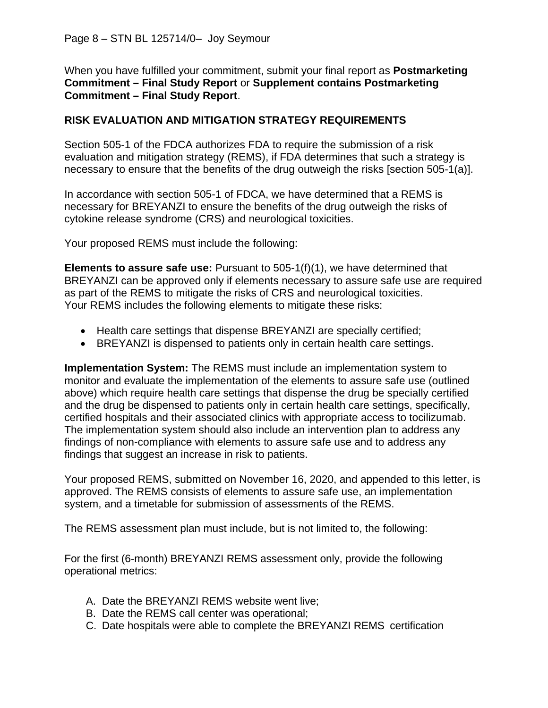When you have fulfilled your commitment, submit your final report as **Postmarketing Commitment – Final Study Report** or **Supplement contains Postmarketing Commitment – Final Study Report**.

### **RISK EVALUATION AND MITIGATION STRATEGY REQUIREMENTS**

Section 505-1 of the FDCA authorizes FDA to require the submission of a risk evaluation and mitigation strategy (REMS), if FDA determines that such a strategy is necessary to ensure that the benefits of the drug outweigh the risks [section 505-1(a)].

In accordance with section 505-1 of FDCA, we have determined that a REMS is necessary for BREYANZI to ensure the benefits of the drug outweigh the risks of cytokine release syndrome (CRS) and neurological toxicities.

Your proposed REMS must include the following:

**Elements to assure safe use:** Pursuant to 505-1(f)(1), we have determined that BREYANZI can be approved only if elements necessary to assure safe use are required as part of the REMS to mitigate the risks of CRS and neurological toxicities. Your REMS includes the following elements to mitigate these risks:

- Health care settings that dispense BREYANZI are specially certified;
- BREYANZI is dispensed to patients only in certain health care settings.

**Implementation System:** The REMS must include an implementation system to monitor and evaluate the implementation of the elements to assure safe use (outlined above) which require health care settings that dispense the drug be specially certified and the drug be dispensed to patients only in certain health care settings, specifically, certified hospitals and their associated clinics with appropriate access to tocilizumab. The implementation system should also include an intervention plan to address any findings of non-compliance with elements to assure safe use and to address any findings that suggest an increase in risk to patients.

Your proposed REMS, submitted on November 16, 2020, and appended to this letter, is approved. The REMS consists of elements to assure safe use, an implementation system, and a timetable for submission of assessments of the REMS.

The REMS assessment plan must include, but is not limited to, the following:

For the first (6-month) BREYANZI REMS assessment only, provide the following operational metrics:

- A. Date the BREYANZI REMS website went live;
- B. Date the REMS call center was operational;
- C. Date hospitals were able to complete the BREYANZI REMS certification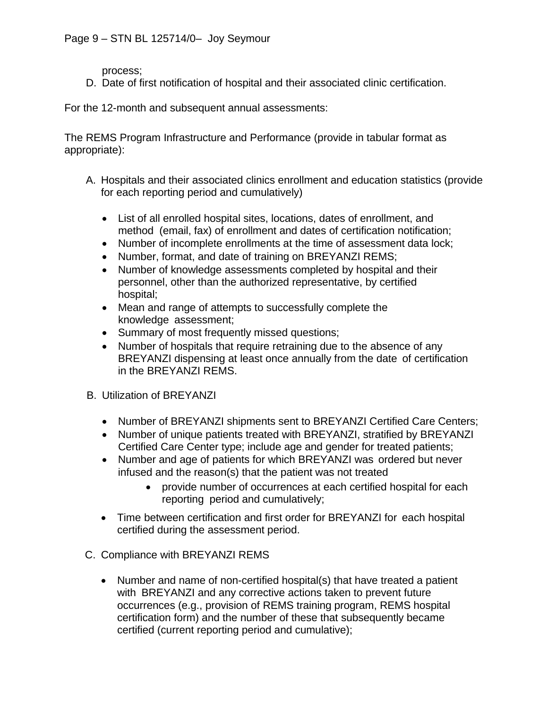process;

D. Date of first notification of hospital and their associated clinic certification.

For the 12-month and subsequent annual assessments:

The REMS Program Infrastructure and Performance (provide in tabular format as appropriate):

- A. Hospitals and their associated clinics enrollment and education statistics (provide for each reporting period and cumulatively)
	- List of all enrolled hospital sites, locations, dates of enrollment, and method (email, fax) of enrollment and dates of certification notification;
	- Number of incomplete enrollments at the time of assessment data lock;
	- Number, format, and date of training on BREYANZI REMS;
	- Number of knowledge assessments completed by hospital and their personnel, other than the authorized representative, by certified hospital;
	- Mean and range of attempts to successfully complete the knowledge assessment;
	- Summary of most frequently missed questions;
	- Number of hospitals that require retraining due to the absence of any BREYANZI dispensing at least once annually from the date of certification in the BREYANZI REMS.
- B. Utilization of BREYANZI
	- Number of BREYANZI shipments sent to BREYANZI Certified Care Centers;
	- Number of unique patients treated with BREYANZI, stratified by BREYANZI Certified Care Center type; include age and gender for treated patients;
	- Number and age of patients for which BREYANZI was ordered but never infused and the reason(s) that the patient was not treated
		- provide number of occurrences at each certified hospital for each reporting period and cumulatively;
	- Time between certification and first order for BREYANZI for each hospital certified during the assessment period.
- C. Compliance with BREYANZI REMS
	- Number and name of non-certified hospital(s) that have treated a patient with BREYANZI and any corrective actions taken to prevent future occurrences (e.g., provision of REMS training program, REMS hospital certification form) and the number of these that subsequently became certified (current reporting period and cumulative);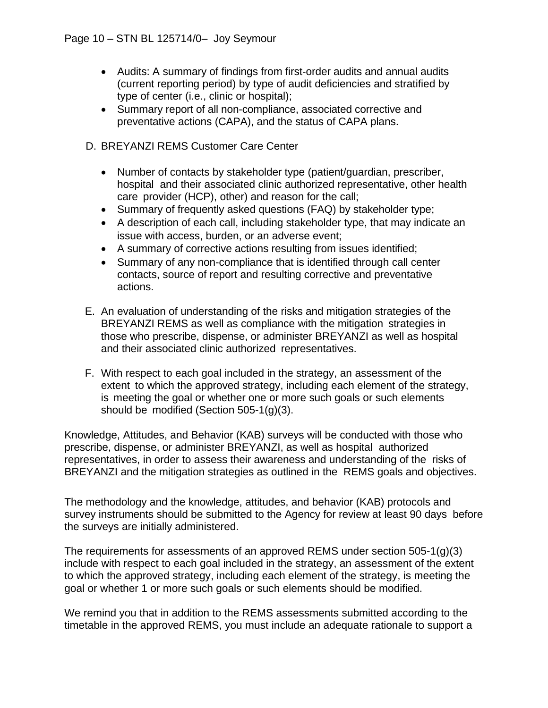- Audits: A summary of findings from first-order audits and annual audits (current reporting period) by type of audit deficiencies and stratified by type of center (i.e., clinic or hospital);
- Summary report of all non-compliance, associated corrective and preventative actions (CAPA), and the status of CAPA plans.
- D. BREYANZI REMS Customer Care Center
	- Number of contacts by stakeholder type (patient/guardian, prescriber, hospital and their associated clinic authorized representative, other health care provider (HCP), other) and reason for the call;
	- Summary of frequently asked questions (FAQ) by stakeholder type;
	- A description of each call, including stakeholder type, that may indicate an issue with access, burden, or an adverse event;
	- A summary of corrective actions resulting from issues identified;
	- Summary of any non-compliance that is identified through call center contacts, source of report and resulting corrective and preventative actions.
- E. An evaluation of understanding of the risks and mitigation strategies of the BREYANZI REMS as well as compliance with the mitigation strategies in those who prescribe, dispense, or administer BREYANZI as well as hospital and their associated clinic authorized representatives.
- F. With respect to each goal included in the strategy, an assessment of the extent to which the approved strategy, including each element of the strategy, is meeting the goal or whether one or more such goals or such elements should be modified (Section 505-1(g)(3).

Knowledge, Attitudes, and Behavior (KAB) surveys will be conducted with those who prescribe, dispense, or administer BREYANZI, as well as hospital authorized representatives, in order to assess their awareness and understanding of the risks of BREYANZI and the mitigation strategies as outlined in the REMS goals and objectives.

The methodology and the knowledge, attitudes, and behavior (KAB) protocols and survey instruments should be submitted to the Agency for review at least 90 days before the surveys are initially administered.

The requirements for assessments of an approved REMS under section 505-1(g)(3) include with respect to each goal included in the strategy, an assessment of the extent to which the approved strategy, including each element of the strategy, is meeting the goal or whether 1 or more such goals or such elements should be modified.

We remind you that in addition to the REMS assessments submitted according to the timetable in the approved REMS, you must include an adequate rationale to support a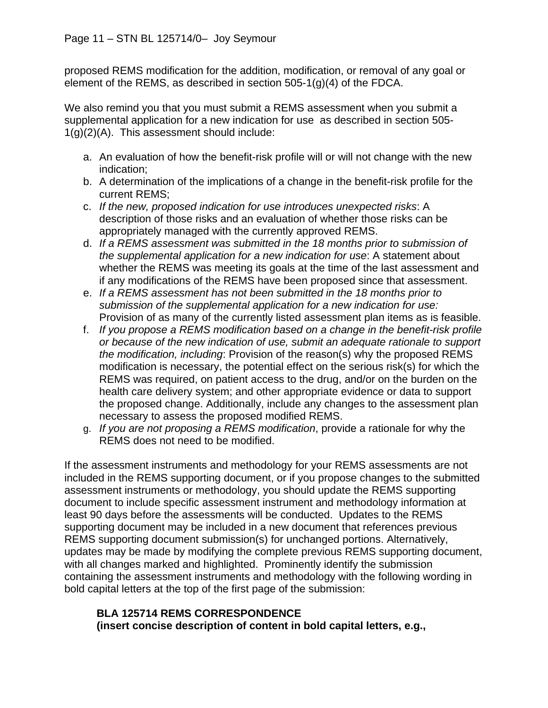proposed REMS modification for the addition, modification, or removal of any goal or element of the REMS, as described in section 505-1(g)(4) of the FDCA.

We also remind you that you must submit a REMS assessment when you submit a supplemental application for a new indication for use as described in section 505- 1(g)(2)(A). This assessment should include:

- a. An evaluation of how the benefit-risk profile will or will not change with the new indication;
- b. A determination of the implications of a change in the benefit-risk profile for the current REMS;
- c. *If the new, proposed indication for use introduces unexpected risks*: A description of those risks and an evaluation of whether those risks can be appropriately managed with the currently approved REMS.
- d. *If a REMS assessment was submitted in the 18 months prior to submission of the supplemental application for a new indication for use*: A statement about whether the REMS was meeting its goals at the time of the last assessment and if any modifications of the REMS have been proposed since that assessment.
- e. *If a REMS assessment has not been submitted in the 18 months prior to submission of the supplemental application for a new indication for use:*  Provision of as many of the currently listed assessment plan items as is feasible.
- f. *If you propose a REMS modification based on a change in the benefit-risk profile or because of the new indication of use, submit an adequate rationale to support the modification, including*: Provision of the reason(s) why the proposed REMS modification is necessary, the potential effect on the serious risk(s) for which the REMS was required, on patient access to the drug, and/or on the burden on the health care delivery system; and other appropriate evidence or data to support the proposed change. Additionally, include any changes to the assessment plan necessary to assess the proposed modified REMS.
- g. *If you are not proposing a REMS modification*, provide a rationale for why the REMS does not need to be modified.

If the assessment instruments and methodology for your REMS assessments are not included in the REMS supporting document, or if you propose changes to the submitted assessment instruments or methodology, you should update the REMS supporting document to include specific assessment instrument and methodology information at least 90 days before the assessments will be conducted. Updates to the REMS supporting document may be included in a new document that references previous REMS supporting document submission(s) for unchanged portions. Alternatively, updates may be made by modifying the complete previous REMS supporting document, with all changes marked and highlighted. Prominently identify the submission containing the assessment instruments and methodology with the following wording in bold capital letters at the top of the first page of the submission:

## **BLA 125714 REMS CORRESPONDENCE (insert concise description of content in bold capital letters, e.g.,**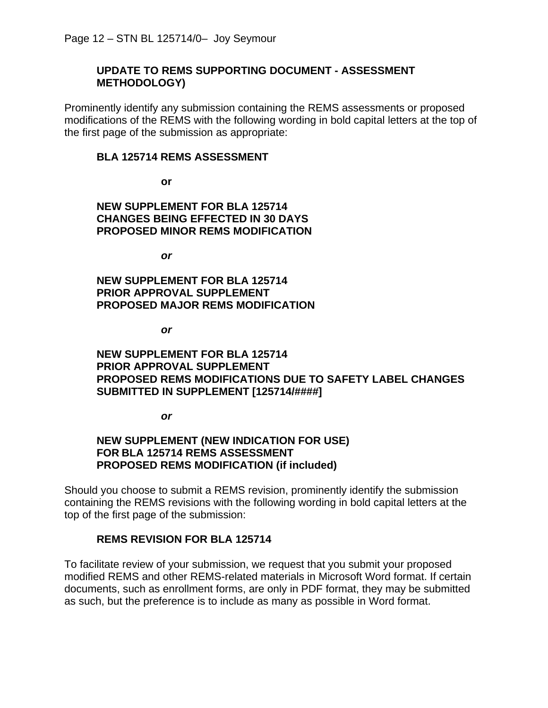#### **UPDATE TO REMS SUPPORTING DOCUMENT - ASSESSMENT METHODOLOGY)**

Prominently identify any submission containing the REMS assessments or proposed modifications of the REMS with the following wording in bold capital letters at the top of the first page of the submission as appropriate:

#### **BLA 125714 REMS ASSESSMENT**

**or**

**NEW SUPPLEMENT FOR BLA 125714 CHANGES BEING EFFECTED IN 30 DAYS PROPOSED MINOR REMS MODIFICATION** 

*or*

**NEW SUPPLEMENT FOR BLA 125714 PRIOR APPROVAL SUPPLEMENT PROPOSED MAJOR REMS MODIFICATION** 

*or*

**NEW SUPPLEMENT FOR BLA 125714 PRIOR APPROVAL SUPPLEMENT PROPOSED REMS MODIFICATIONS DUE TO SAFETY LABEL CHANGES SUBMITTED IN SUPPLEMENT [125714/####]**

*or*

#### **NEW SUPPLEMENT (NEW INDICATION FOR USE) FOR BLA 125714 REMS ASSESSMENT PROPOSED REMS MODIFICATION (if included)**

Should you choose to submit a REMS revision, prominently identify the submission containing the REMS revisions with the following wording in bold capital letters at the top of the first page of the submission:

#### **REMS REVISION FOR BLA 125714**

To facilitate review of your submission, we request that you submit your proposed modified REMS and other REMS-related materials in Microsoft Word format. If certain documents, such as enrollment forms, are only in PDF format, they may be submitted as such, but the preference is to include as many as possible in Word format.